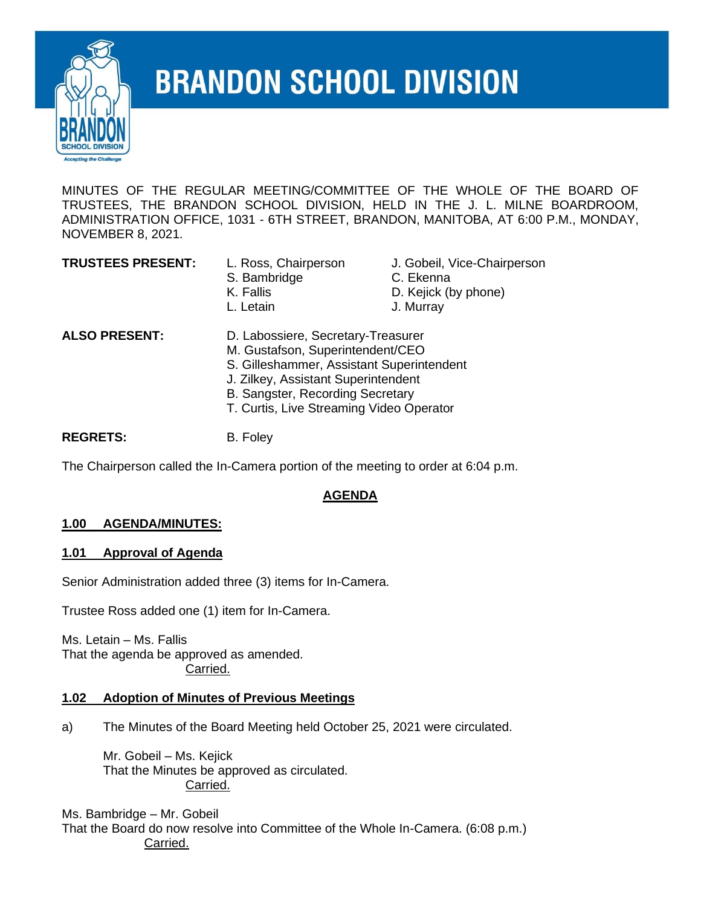

# **BRANDON SCHOOL DIVISION**

MINUTES OF THE REGULAR MEETING/COMMITTEE OF THE WHOLE OF THE BOARD OF TRUSTEES, THE BRANDON SCHOOL DIVISION, HELD IN THE J. L. MILNE BOARDROOM, ADMINISTRATION OFFICE, 1031 - 6TH STREET, BRANDON, MANITOBA, AT 6:00 P.M., MONDAY, NOVEMBER 8, 2021.

#### **TRUSTEES PRESENT:** L. Ross, Chairperson J. Gobeil, Vice-Chairperson

- S. Bambridge **C. Ekenna** 
	-
- K. Fallis **D. Kejick (by phone)**
- L. Letain J. Murray

- **ALSO PRESENT:** D. Labossiere, Secretary-Treasurer M. Gustafson, Superintendent/CEO
	-
	- S. Gilleshammer, Assistant Superintendent J. Zilkey, Assistant Superintendent
	- B. Sangster, Recording Secretary
	- T. Curtis, Live Streaming Video Operator

REGRETS: B. Foley

The Chairperson called the In-Camera portion of the meeting to order at 6:04 p.m.

# **AGENDA**

# **1.00 AGENDA/MINUTES:**

# **1.01 Approval of Agenda**

Senior Administration added three (3) items for In-Camera.

Trustee Ross added one (1) item for In-Camera.

Ms. Letain – Ms. Fallis That the agenda be approved as amended. Carried.

# **1.02 Adoption of Minutes of Previous Meetings**

a) The Minutes of the Board Meeting held October 25, 2021 were circulated.

Mr. Gobeil – Ms. Kejick That the Minutes be approved as circulated. Carried.

Ms. Bambridge – Mr. Gobeil That the Board do now resolve into Committee of the Whole In-Camera. (6:08 p.m.) Carried.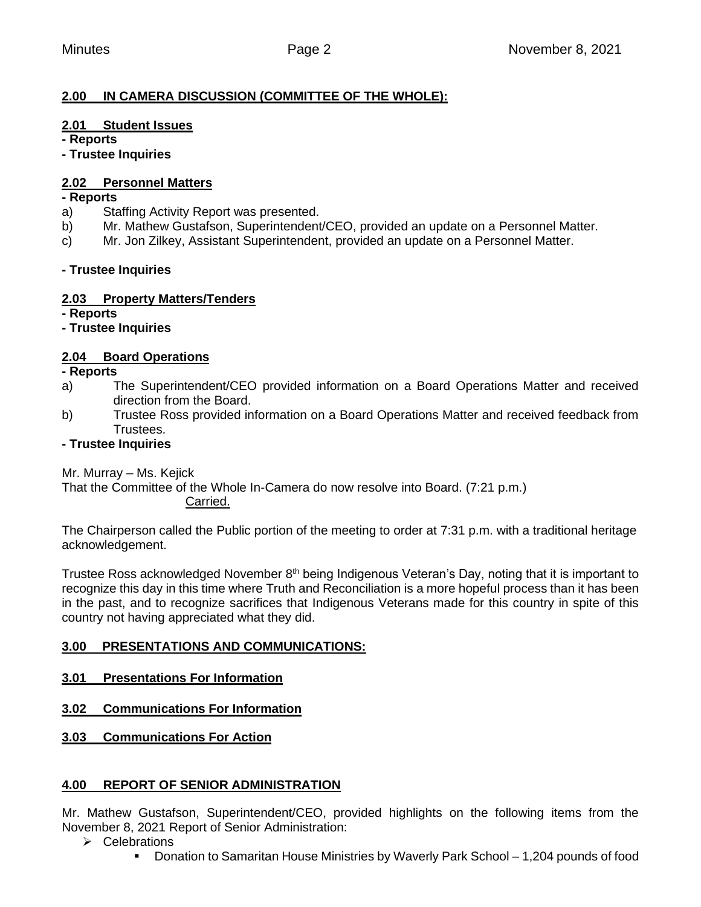# **2.00 IN CAMERA DISCUSSION (COMMITTEE OF THE WHOLE):**

#### **2.01 Student Issues**

**- Reports**

**- Trustee Inquiries**

#### **2.02 Personnel Matters**

#### **- Reports**

- a) Staffing Activity Report was presented.
- b) Mr. Mathew Gustafson, Superintendent/CEO, provided an update on a Personnel Matter.
- c) Mr. Jon Zilkey, Assistant Superintendent, provided an update on a Personnel Matter.

#### **- Trustee Inquiries**

#### **2.03 Property Matters/Tenders**

**- Reports**

#### **- Trustee Inquiries**

# **2.04 Board Operations**

**- Reports**

- a) The Superintendent/CEO provided information on a Board Operations Matter and received direction from the Board.
- b) Trustee Ross provided information on a Board Operations Matter and received feedback from Trustees.

#### **- Trustee Inquiries**

Mr. Murray – Ms. Kejick

That the Committee of the Whole In-Camera do now resolve into Board. (7:21 p.m.) Carried.

The Chairperson called the Public portion of the meeting to order at 7:31 p.m. with a traditional heritage acknowledgement.

Trustee Ross acknowledged November 8<sup>th</sup> being Indigenous Veteran's Day, noting that it is important to recognize this day in this time where Truth and Reconciliation is a more hopeful process than it has been in the past, and to recognize sacrifices that Indigenous Veterans made for this country in spite of this country not having appreciated what they did.

# **3.00 PRESENTATIONS AND COMMUNICATIONS:**

- **3.01 Presentations For Information**
- **3.02 Communications For Information**
- **3.03 Communications For Action**

# **4.00 REPORT OF SENIOR ADMINISTRATION**

Mr. Mathew Gustafson, Superintendent/CEO, provided highlights on the following items from the November 8, 2021 Report of Senior Administration:

- ➢ Celebrations
	- Donation to Samaritan House Ministries by Waverly Park School 1,204 pounds of food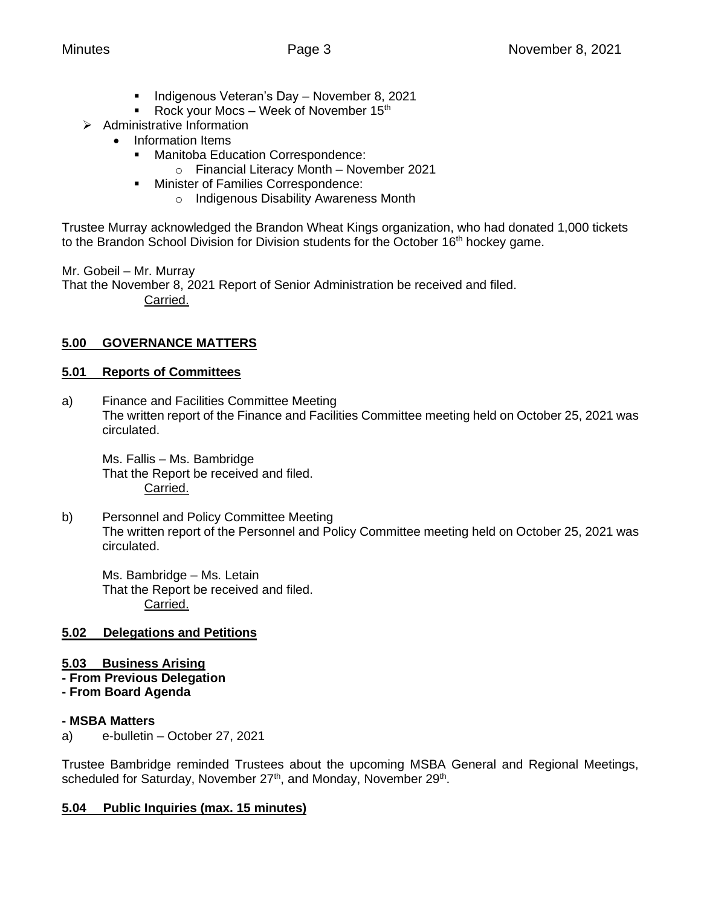- **E** Indigenous Veteran's Day November 8, 2021
- Rock your Mocs Week of November  $15<sup>th</sup>$
- ➢ Administrative Information
	- Information Items
		- Manitoba Education Correspondence:
			- o Financial Literacy Month November 2021
		- **■** Minister of Families Correspondence:
			- o Indigenous Disability Awareness Month

Trustee Murray acknowledged the Brandon Wheat Kings organization, who had donated 1,000 tickets to the Brandon School Division for Division students for the October 16<sup>th</sup> hockey game.

Mr. Gobeil – Mr. Murray

That the November 8, 2021 Report of Senior Administration be received and filed. Carried.

# **5.00 GOVERNANCE MATTERS**

# **5.01 Reports of Committees**

a) Finance and Facilities Committee Meeting The written report of the Finance and Facilities Committee meeting held on October 25, 2021 was circulated.

Ms. Fallis – Ms. Bambridge That the Report be received and filed. Carried.

b) Personnel and Policy Committee Meeting The written report of the Personnel and Policy Committee meeting held on October 25, 2021 was circulated.

Ms. Bambridge – Ms. Letain That the Report be received and filed. Carried.

# **5.02 Delegations and Petitions**

# **5.03 Business Arising**

- **- From Previous Delegation**
- **- From Board Agenda**

# **- MSBA Matters**

a) e-bulletin – October 27, 2021

Trustee Bambridge reminded Trustees about the upcoming MSBA General and Regional Meetings, scheduled for Saturday, November 27<sup>th</sup>, and Monday, November 29<sup>th</sup>.

# **5.04 Public Inquiries (max. 15 minutes)**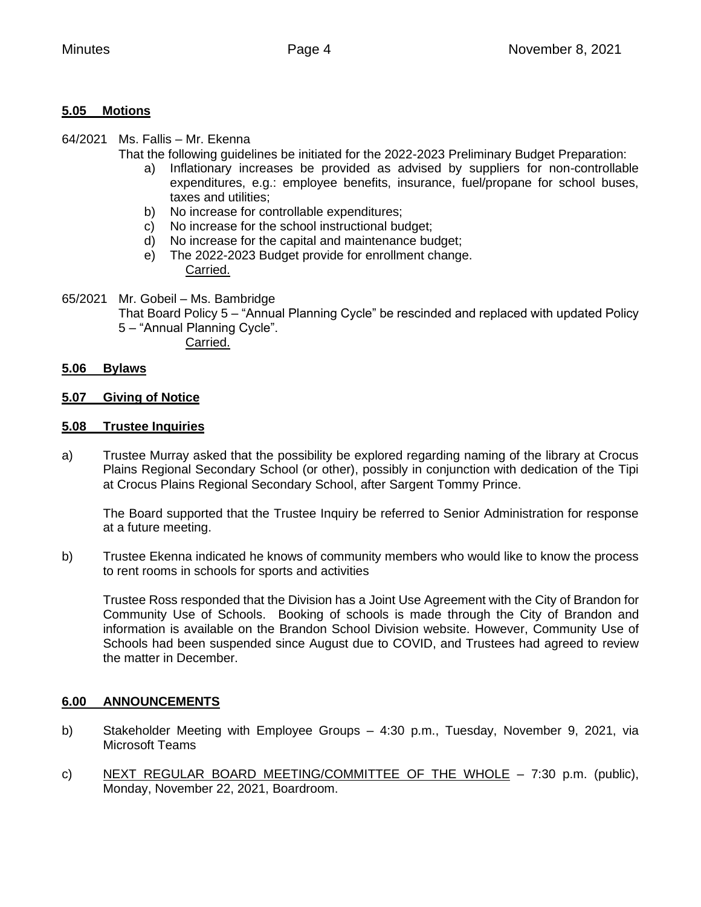#### **5.05 Motions**

64/2021 Ms. Fallis – Mr. Ekenna

That the following guidelines be initiated for the 2022-2023 Preliminary Budget Preparation:

- a) Inflationary increases be provided as advised by suppliers for non-controllable expenditures, e.g.: employee benefits, insurance, fuel/propane for school buses, taxes and utilities;
- b) No increase for controllable expenditures;
- c) No increase for the school instructional budget;
- d) No increase for the capital and maintenance budget;
- e) The 2022-2023 Budget provide for enrollment change. Carried.
- 65/2021Mr. Gobeil Ms. Bambridge
	- That Board Policy 5 "Annual Planning Cycle" be rescinded and replaced with updated Policy 5 – "Annual Planning Cycle".

Carried.

#### **5.06 Bylaws**

#### **5.07 Giving of Notice**

#### **5.08 Trustee Inquiries**

a) Trustee Murray asked that the possibility be explored regarding naming of the library at Crocus Plains Regional Secondary School (or other), possibly in conjunction with dedication of the Tipi at Crocus Plains Regional Secondary School, after Sargent Tommy Prince.

The Board supported that the Trustee Inquiry be referred to Senior Administration for response at a future meeting.

b) Trustee Ekenna indicated he knows of community members who would like to know the process to rent rooms in schools for sports and activities

Trustee Ross responded that the Division has a Joint Use Agreement with the City of Brandon for Community Use of Schools. Booking of schools is made through the City of Brandon and information is available on the Brandon School Division website. However, Community Use of Schools had been suspended since August due to COVID, and Trustees had agreed to review the matter in December.

#### **6.00 ANNOUNCEMENTS**

- b) Stakeholder Meeting with Employee Groups 4:30 p.m., Tuesday, November 9, 2021, via Microsoft Teams
- c) NEXT REGULAR BOARD MEETING/COMMITTEE OF THE WHOLE  $-$  7:30 p.m. (public), Monday, November 22, 2021, Boardroom.